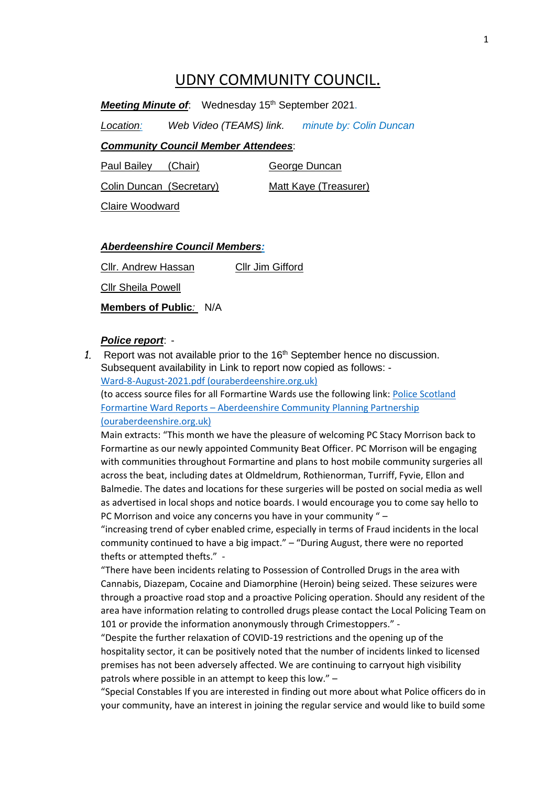# UDNY COMMUNITY COUNCIL.

Meeting Minute of: Wednesday 15<sup>th</sup> September 2021.

*Location: Web Video (TEAMS) link. minute by: Colin Duncan*

### *Community Council Member Attendees*:

Paul Bailey (Chair) George Duncan

Colin Duncan (Secretary) Matt Kaye (Treasurer)

Claire Woodward

### *Aberdeenshire Council Members:*

Cllr. Andrew Hassan Cllr Jim Gifford Cllr Sheila Powell **Members of Public***:* N/A

#### *Police report*: -

1. Report was not available prior to the 16<sup>th</sup> September hence no discussion. Subsequent availability in Link to report now copied as follows: - [Ward-8-August-2021.pdf \(ouraberdeenshire.org.uk\)](https://www.ouraberdeenshire.org.uk/wp-content/uploads/2021/09/Ward-8-August-2021.pdf)

(to access source files for all Formartine Wards use the following link: [Police Scotland](https://www.ouraberdeenshire.org.uk/your-area/formartine/police-scotland-ward-reports/)  Formartine Ward Reports – [Aberdeenshire Community Planning Partnership](https://www.ouraberdeenshire.org.uk/your-area/formartine/police-scotland-ward-reports/)  [\(ouraberdeenshire.org.uk\)](https://www.ouraberdeenshire.org.uk/your-area/formartine/police-scotland-ward-reports/)

Main extracts: "This month we have the pleasure of welcoming PC Stacy Morrison back to Formartine as our newly appointed Community Beat Officer. PC Morrison will be engaging with communities throughout Formartine and plans to host mobile community surgeries all across the beat, including dates at Oldmeldrum, Rothienorman, Turriff, Fyvie, Ellon and Balmedie. The dates and locations for these surgeries will be posted on social media as well as advertised in local shops and notice boards. I would encourage you to come say hello to PC Morrison and voice any concerns you have in your community " –

"increasing trend of cyber enabled crime, especially in terms of Fraud incidents in the local community continued to have a big impact." – "During August, there were no reported thefts or attempted thefts." -

"There have been incidents relating to Possession of Controlled Drugs in the area with Cannabis, Diazepam, Cocaine and Diamorphine (Heroin) being seized. These seizures were through a proactive road stop and a proactive Policing operation. Should any resident of the area have information relating to controlled drugs please contact the Local Policing Team on 101 or provide the information anonymously through Crimestoppers." -

"Despite the further relaxation of COVID-19 restrictions and the opening up of the hospitality sector, it can be positively noted that the number of incidents linked to licensed premises has not been adversely affected. We are continuing to carryout high visibility patrols where possible in an attempt to keep this low." –

"Special Constables If you are interested in finding out more about what Police officers do in your community, have an interest in joining the regular service and would like to build some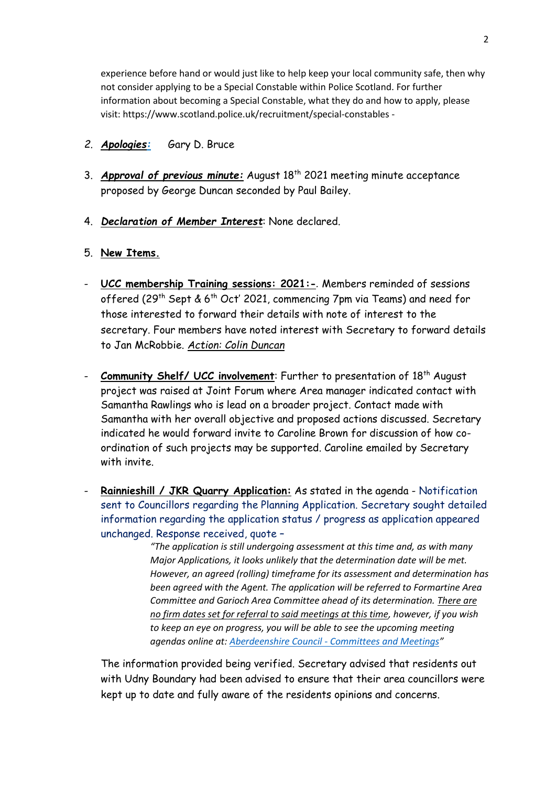experience before hand or would just like to help keep your local community safe, then why not consider applying to be a Special Constable within Police Scotland. For further information about becoming a Special Constable, what they do and how to apply, please visit: https://www.scotland.police.uk/recruitment/special-constables -

- *2. Apologies:* Gary D. Bruce
- 3. *Approval of previous minute:* August 18<sup>th</sup> 2021 meeting minute acceptance proposed by George Duncan seconded by Paul Bailey.
- 4. *Declaration of Member Interest*: None declared.
- 5. **New Items.**
- **UCC membership Training sessions: 2021:-***.* Members reminded of sessions offered (29<sup>th</sup> Sept & 6<sup>th</sup> Oct' 2021, commencing 7pm via Teams) and need for those interested to forward their details with note of interest to the secretary. Four members have noted interest with Secretary to forward details to Jan McRobbie. *Action: Colin Duncan*
- **Community Shelf/ UCC involvement**: Further to presentation of 18<sup>th</sup> August project was raised at Joint Forum where Area manager indicated contact with Samantha Rawlings who is lead on a broader project. Contact made with Samantha with her overall objective and proposed actions discussed. Secretary indicated he would forward invite to Caroline Brown for discussion of how coordination of such projects may be supported. Caroline emailed by Secretary with invite.
- **Rainnieshill / JKR Quarry Application:** As stated in the agenda Notification sent to Councillors regarding the Planning Application. Secretary sought detailed information regarding the application status / progress as application appeared unchanged. Response received, quote –

*"The application is still undergoing assessment at this time and, as with many Major Applications, it looks unlikely that the determination date will be met. However, an agreed (rolling) timeframe for its assessment and determination has been agreed with the Agent. The application will be referred to Formartine Area Committee and Garioch Area Committee ahead of its determination. There are no firm dates set for referral to said meetings at this time, however, if you wish to keep an eye on progress, you will be able to see the upcoming meeting agendas online at: Aberdeenshire Council - [Committees and Meetings](https://committees.aberdeenshire.gov.uk/Committees.aspx)"*

The information provided being verified. Secretary advised that residents out with Udny Boundary had been advised to ensure that their area councillors were kept up to date and fully aware of the residents opinions and concerns.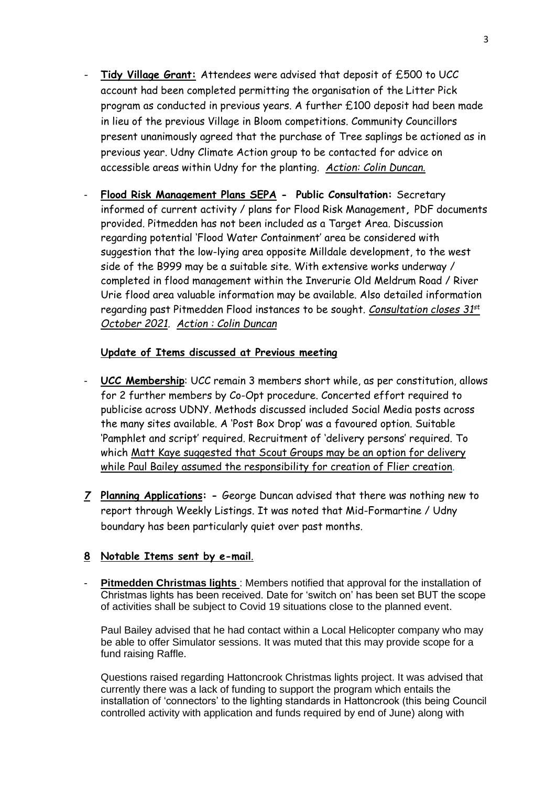- **Tidy Village Grant:** Attendees were advised that deposit of £500 to UCC account had been completed permitting the organisation of the Litter Pick program as conducted in previous years. A further £100 deposit had been made in lieu of the previous Village in Bloom competitions. Community Councillors present unanimously agreed that the purchase of Tree saplings be actioned as in previous year. Udny Climate Action group to be contacted for advice on accessible areas within Udny for the planting. *Action: Colin Duncan.*
- **Flood Risk Management Plans SEPA Public Consultation:** Secretary informed of current activity / plans for Flood Risk Management**,** PDF documents provided. Pitmedden has not been included as a Target Area. Discussion regarding potential 'Flood Water Containment' area be considered with suggestion that the low-lying area opposite Milldale development, to the west side of the B999 may be a suitable site. With extensive works underway / completed in flood management within the Inverurie Old Meldrum Road / River Urie flood area valuable information may be available. Also detailed information regarding past Pitmedden Flood instances to be sought. *Consultation closes 31st October 2021. Action : Colin Duncan*

### **Update of Items discussed at Previous meeting**

- **UCC Membership:** UCC remain 3 members short while, as per constitution, allows for 2 further members by Co-Opt procedure. Concerted effort required to publicise across UDNY. Methods discussed included Social Media posts across the many sites available. A 'Post Box Drop' was a favoured option. Suitable 'Pamphlet and script' required. Recruitment of 'delivery persons' required. To which Matt Kaye suggested that Scout Groups may be an option for delivery while Paul Bailey assumed the responsibility for creation of Flier creation*.*
- *7* **Planning Applications: -** George Duncan advised that there was nothing new to report through Weekly Listings. It was noted that Mid-Formartine / Udny boundary has been particularly quiet over past months.

## **8 Notable Items sent by e-mail**.

**Pitmedden Christmas lights** : Members notified that approval for the installation of Christmas lights has been received. Date for 'switch on' has been set BUT the scope of activities shall be subject to Covid 19 situations close to the planned event.

Paul Bailey advised that he had contact within a Local Helicopter company who may be able to offer Simulator sessions. It was muted that this may provide scope for a fund raising Raffle.

Questions raised regarding Hattoncrook Christmas lights project. It was advised that currently there was a lack of funding to support the program which entails the installation of 'connectors' to the lighting standards in Hattoncrook (this being Council controlled activity with application and funds required by end of June) along with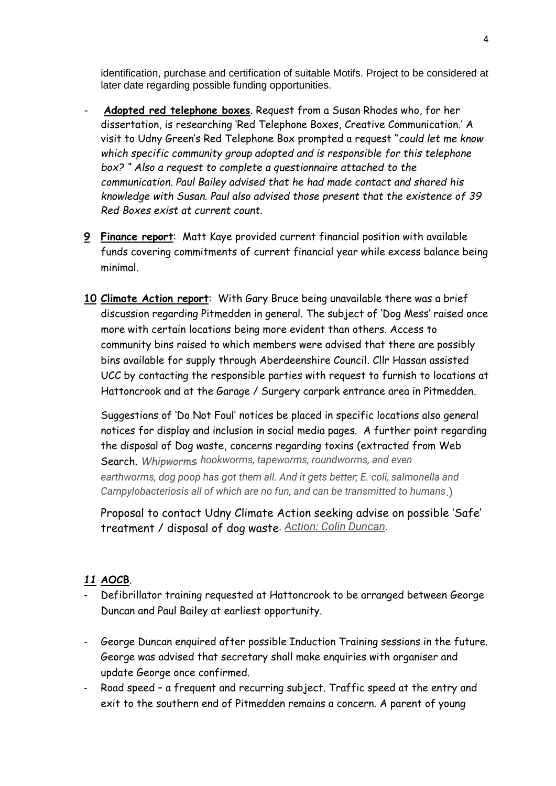identification, purchase and certification of suitable Motifs. Project to be considered at later date regarding possible funding opportunities.

- **Adopted red telephone boxes**. Request from a Susan Rhodes who, for her dissertation, is researching 'Red Telephone Boxes, Creative Communication.' A visit to Udny Green's Red Telephone Box prompted a request "*could let me know which specific community group adopted and is responsible for this telephone box? " Also a request to complete a questionnaire attached to the communication. Paul Bailey advised that he had made contact and shared his knowledge with Susan. Paul also advised those present that the existence of 39 Red Boxes exist at current count.*
- **9 Finance report**: Matt Kaye provided current financial position with available funds covering commitments of current financial year while excess balance being minimal.
- **10 Climate Action report**: With Gary Bruce being unavailable there was a brief discussion regarding Pitmedden in general. The subject of 'Dog Mess' raised once more with certain locations being more evident than others. Access to community bins raised to which members were advised that there are possibly bins available for supply through Aberdeenshire Council. Cllr Hassan assisted UCC by contacting the responsible parties with request to furnish to locations at Hattoncrook and at the Garage / Surgery carpark entrance area in Pitmedden.

Suggestions of 'Do Not Foul' notices be placed in specific locations also general notices for display and inclusion in social media pages. A further point regarding the disposal of Dog waste, concerns regarding toxins (extracted from Web Search. *Whipworms, hookworms, tapeworms, roundworms, and even earthworms, dog poop has got them all. And it gets better; E. coli, salmonella and Campylobacteriosis all of which are no fun, and can be transmitted to humans*.)

Proposal to contact Udny Climate Action seeking advise on possible 'Safe' treatment / disposal of dog waste. *Action: Colin Duncan*.

# *11* **AOCB**.

- Defibrillator training requested at Hattoncrook to be arranged between George Duncan and Paul Bailey at earliest opportunity.
- George Duncan enquired after possible Induction Training sessions in the future. George was advised that secretary shall make enquiries with organiser and update George once confirmed.
- Road speed a frequent and recurring subject. Traffic speed at the entry and exit to the southern end of Pitmedden remains a concern. A parent of young